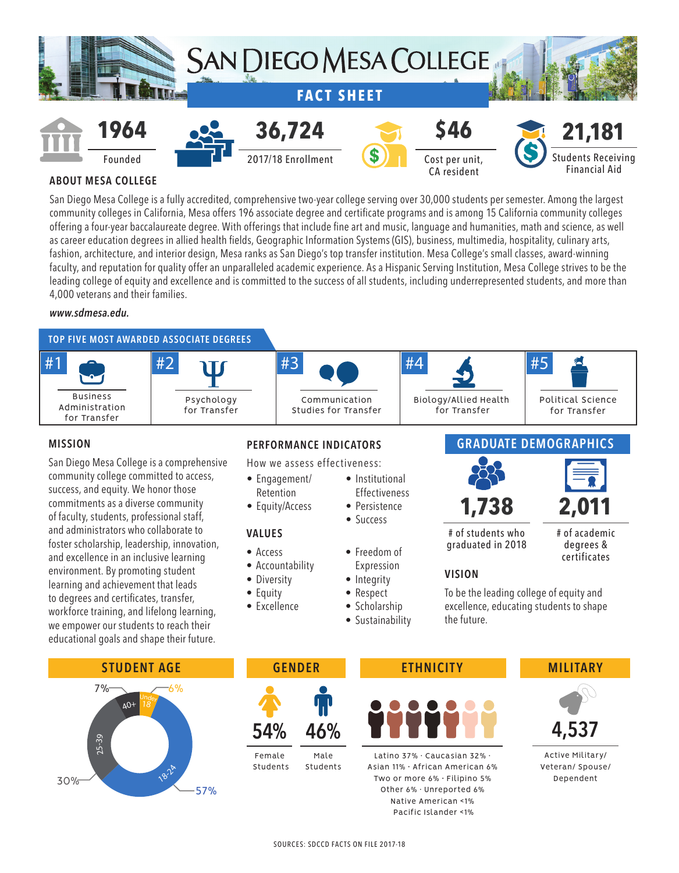

# **ABOUT MESA COLLEGE**

San Diego Mesa College is a fully accredited, comprehensive two-year college serving over 30,000 students per semester. Among the largest community colleges in California, Mesa offers 196 associate degree and certificate programs and is among 15 California community colleges offering a four-year baccalaureate degree. With offerings that include fine art and music, language and humanities, math and science, as well as career education degrees in allied health fields, Geographic Information Systems (GIS), business, multimedia, hospitality, culinary arts, fashion, architecture, and interior design, Mesa ranks as San Diego's top transfer institution. Mesa College's small classes, award-winning faculty, and reputation for quality offer an unparalleled academic experience. As a Hispanic Serving Institution, Mesa College strives to be the leading college of equity and excellence and is committed to the success of all students, including underrepresented students, and more than 4,000 veterans and their families.

#### *www.sdmesa.edu.*



#### **MISSION**

San Diego Mesa College is a comprehensive community college committed to access, success, and equity. We honor those commitments as a diverse community of faculty, students, professional staff, and administrators who collaborate to foster scholarship, leadership, innovation, and excellence in an inclusive learning environment. By promoting student learning and achievement that leads to degrees and certificates, transfer, workforce training, and lifelong learning, we empower our students to reach their educational goals and shape their future.



How we assess effectiveness:

- Engagement/ Retention
- Equity/Access

#### **VALUES**

- Access
- Accountability
- Diversity
- Equity
- Excellence
- Institutional
- Success
- 
- Expression
- Integrity
- 
- Scholarship
	- Sustainability
- **Effectiveness**
- Persistence
	-
- Freedom of
- 
- Respect
- -

**GRADUATE DEMOGRAPHICS**





# of students who graduated in 2018

# of academic degrees & certificates

# **VISION**

To be the leading college of equity and excellence, educating students to shape the future.





 Students Students



Latino 37% ∙ Caucasian 32% ∙ Asian 11% • African American 6% Two or more 6% • Filipino 5% Other 6% ∙ Unreported 6% Native American <1% Pacific Islander <1%



Active Military/ Veteran/ Spouse/ Dependent